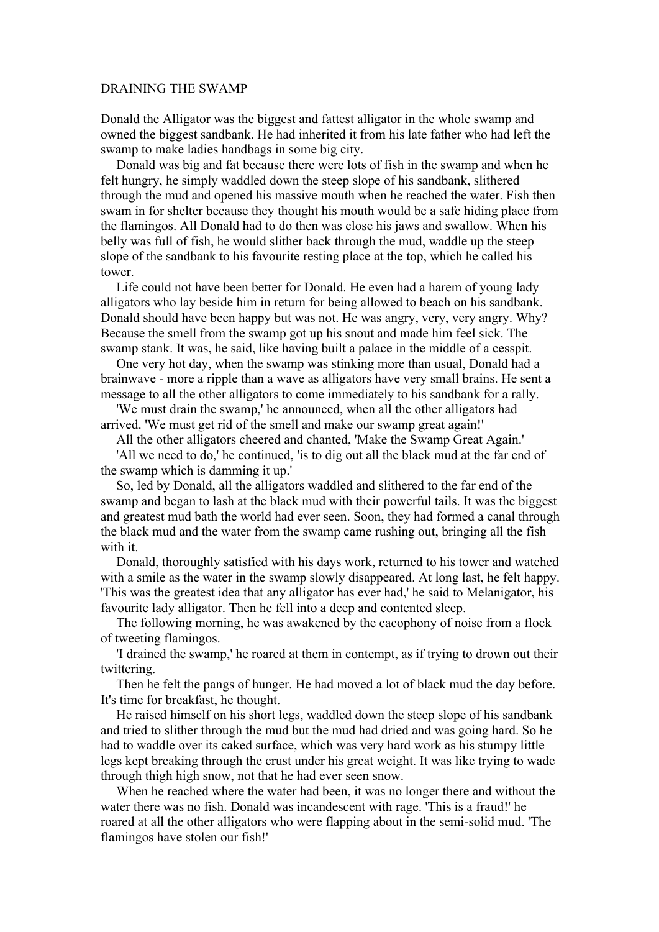## DRAINING THE SWAMP

Donald the Alligator was the biggest and fattest alligator in the whole swamp and owned the biggest sandbank. He had inherited it from his late father who had left the swamp to make ladies handbags in some big city.

Donald was big and fat because there were lots of fish in the swamp and when he felt hungry, he simply waddled down the steep slope of his sandbank, slithered through the mud and opened his massive mouth when he reached the water. Fish then swam in for shelter because they thought his mouth would be a safe hiding place from the flamingos. All Donald had to do then was close his jaws and swallow. When his belly was full of fish, he would slither back through the mud, waddle up the steep slope of the sandbank to his favourite resting place at the top, which he called his tower.

Life could not have been better for Donald. He even had a harem of young lady alligators who lay beside him in return for being allowed to beach on his sandbank. Donald should have been happy but was not. He was angry, very, very angry. Why? Because the smell from the swamp got up his snout and made him feel sick. The swamp stank. It was, he said, like having built a palace in the middle of a cesspit.

One very hot day, when the swamp was stinking more than usual, Donald had a brainwave - more a ripple than a wave as alligators have very small brains. He sent a message to all the other alligators to come immediately to his sandbank for a rally.

'We must drain the swamp,' he announced, when all the other alligators had arrived. 'We must get rid of the smell and make our swamp great again!'

All the other alligators cheered and chanted, 'Make the Swamp Great Again.'

'All we need to do,' he continued, 'is to dig out all the black mud at the far end of the swamp which is damming it up.'

So, led by Donald, all the alligators waddled and slithered to the far end of the swamp and began to lash at the black mud with their powerful tails. It was the biggest and greatest mud bath the world had ever seen. Soon, they had formed a canal through the black mud and the water from the swamp came rushing out, bringing all the fish with it.

Donald, thoroughly satisfied with his days work, returned to his tower and watched with a smile as the water in the swamp slowly disappeared. At long last, he felt happy. 'This was the greatest idea that any alligator has ever had,' he said to Melanigator, his favourite lady alligator. Then he fell into a deep and contented sleep.

The following morning, he was awakened by the cacophony of noise from a flock of tweeting flamingos.

'I drained the swamp,' he roared at them in contempt, as if trying to drown out their twittering.

Then he felt the pangs of hunger. He had moved a lot of black mud the day before. It's time for breakfast, he thought.

He raised himself on his short legs, waddled down the steep slope of his sandbank and tried to slither through the mud but the mud had dried and was going hard. So he had to waddle over its caked surface, which was very hard work as his stumpy little legs kept breaking through the crust under his great weight. It was like trying to wade through thigh high snow, not that he had ever seen snow.

When he reached where the water had been, it was no longer there and without the water there was no fish. Donald was incandescent with rage. 'This is a fraud!' he roared at all the other alligators who were flapping about in the semi-solid mud. 'The flamingos have stolen our fish!'